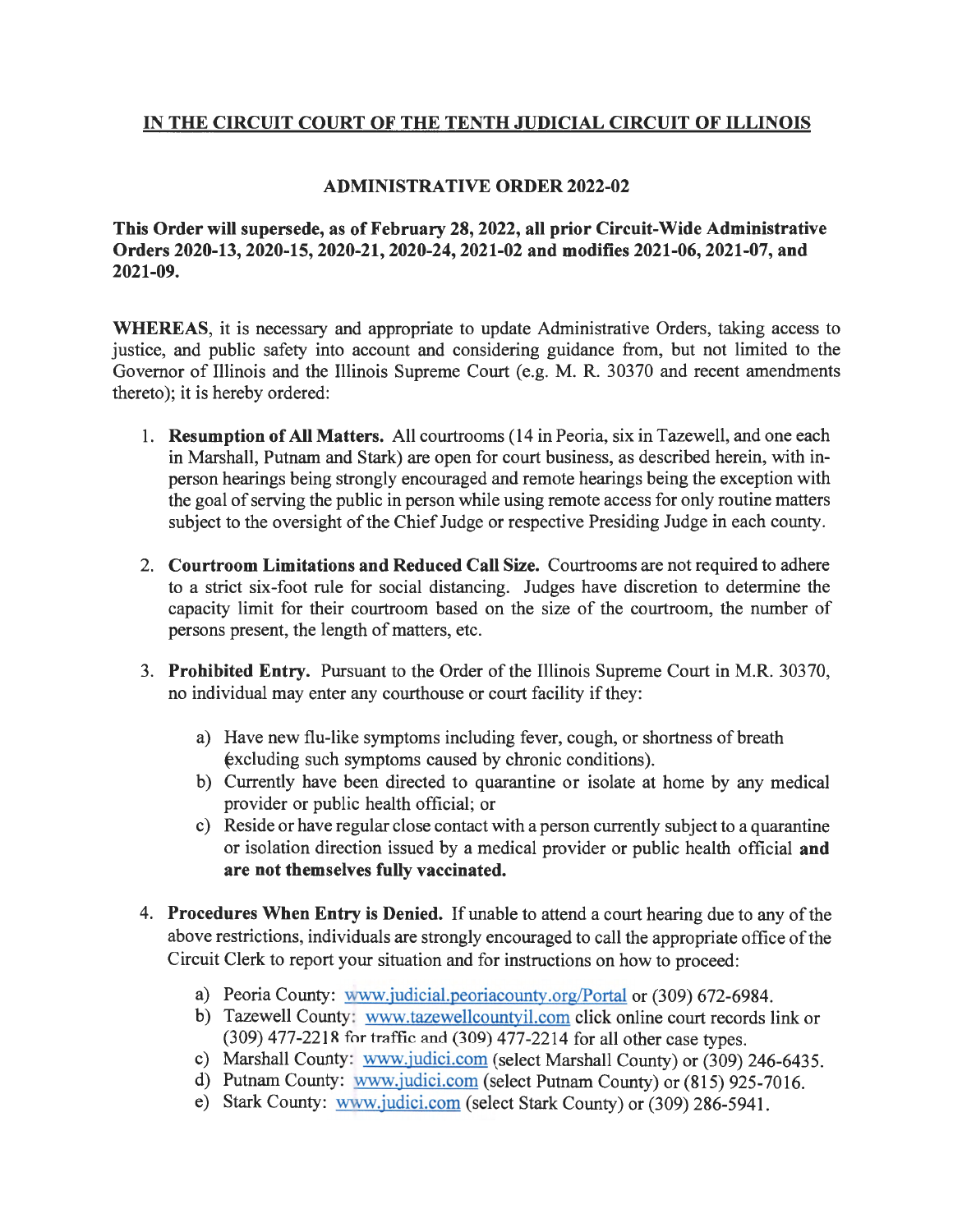## **IN THE CIRCUIT COURT OF THE TENTH JUDICIAL CIRCUIT OF ILLINOIS**

## **ADMINISTRATIVE ORDER 2022-02**

**This Order will supersede, as of February 28, 2022, all prior Circuit-Wide Administrative Orders 2020-13, 2020-15, 2020-21, 2020-24, 2021-02 and modifies 2021-06, 2021-07, and 2021-09.** 

**WHEREAS,** it is necessary and appropriate to update Administrative Orders, taking access to justice, and public safety into account and considering guidance from, but not limited to the Governor of Illinois and the Illinois Supreme Court (e.g. M. R. 30370 and recent amendments thereto); it is hereby ordered:

- 1. **Resumption of All Matters.** All courtrooms (14 in Peoria, six in Tazewell, and one each in Marshall, Putnam and Stark) are open for court business, as described herein, with inperson hearings being strongly encouraged and remote hearings being the exception with the goal of serving the public in person while using remote access for only routine matters subject to the oversight of the Chief Judge or respective Presiding Judge in each county.
- 2. **Courtroom Limitations and Reduced Call Size.** Courtrooms are not required to adhere to a strict six-foot rule for social distancing. Judges have discretion to determine the capacity limit for their courtroom based on the size of the courtroom, the number of persons present, the length of matters, etc.
- 3. **Prohibited Entry.** Pursuant to the Order of the Illinois Supreme Court in M.R. 30370, no individual may enter any courthouse or court facility if they:
	- a) Have new flu-like symptoms including fever, cough, or shortness of breath  $excluding such symptoms caused by chronic conditions).$
	- b) Currently have been directed to quarantine or isolate at home by any medical provider or public health official; or
	- c) Reside or have regular close contact with a person currently subject to a quarantine or isolation direction issued by a medical provider or public health official **and are not themselves fully vaccinated.**
- 4. **Procedures When Entry is Denied.** If unable to attend a court hearing due to any of the above restrictions, individuals are strongly encouraged to call the appropriate office of the Circuit Clerk to report your situation and for instructions on how to proceed:
	- a) Peoria County: www.judicial.peoriacounty.org/Portal or (309) 672-6984.
	- b) Tazewell County: www.tazewellcountyil.com click online court records link or (309) 477-2218 for traffic and (309) 477-2214 for all other case types.
	- c) Marshall County: www.judici.com (select Marshall County) or (309) 246-6435.
	- d) Putnam County: www.judici.com (select Putnam County) or (815) 925-7016.
	- e) Stark County: www.judici.com (select Stark County) or (309) 286-5941.